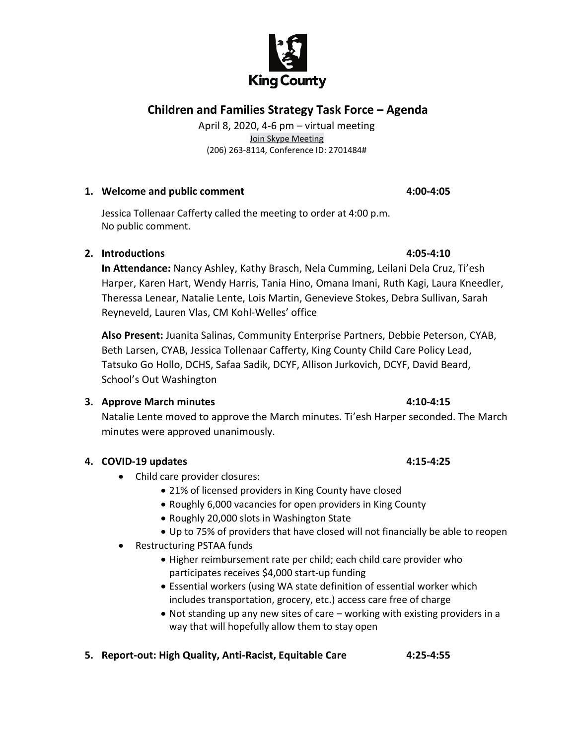# **Children and Families Strategy Task Force – Agenda**

April 8, 2020, 4-6 pm – virtual meeting Join Skype Meeting (206) 263-8114, Conference ID: 2701484#

### **1. Welcome and public comment 4:00-4:05**

Jessica Tollenaar Cafferty called the meeting to order at 4:00 p.m. No public comment.

## **2. Introductions 4:05-4:10**

**In Attendance:** Nancy Ashley, Kathy Brasch, Nela Cumming, Leilani Dela Cruz, Ti'esh Harper, Karen Hart, Wendy Harris, Tania Hino, Omana Imani, Ruth Kagi, Laura Kneedler, Theressa Lenear, Natalie Lente, Lois Martin, Genevieve Stokes, Debra Sullivan, Sarah Reyneveld, Lauren Vlas, CM Kohl-Welles' office

**Also Present:** Juanita Salinas, Community Enterprise Partners, Debbie Peterson, CYAB, Beth Larsen, CYAB, Jessica Tollenaar Cafferty, King County Child Care Policy Lead, Tatsuko Go Hollo, DCHS, Safaa Sadik, DCYF, Allison Jurkovich, DCYF, David Beard, School's Out Washington

## **3. Approve March minutes 4:10-4:15**

Natalie Lente moved to approve the March minutes. Ti'esh Harper seconded. The March minutes were approved unanimously.

## **4. COVID-19 updates 4:15-4:25**

- Child care provider closures:
	- 21% of licensed providers in King County have closed
	- Roughly 6,000 vacancies for open providers in King County
	- Roughly 20,000 slots in Washington State
	- Up to 75% of providers that have closed will not financially be able to reopen
- Restructuring PSTAA funds
	- Higher reimbursement rate per child; each child care provider who participates receives \$4,000 start-up funding
	- Essential workers (using WA state definition of essential worker which includes transportation, grocery, etc.) access care free of charge
	- Not standing up any new sites of care working with existing providers in a way that will hopefully allow them to stay open
- **5. Report-out: High Quality, Anti-Racist, Equitable Care 4:25-4:55**

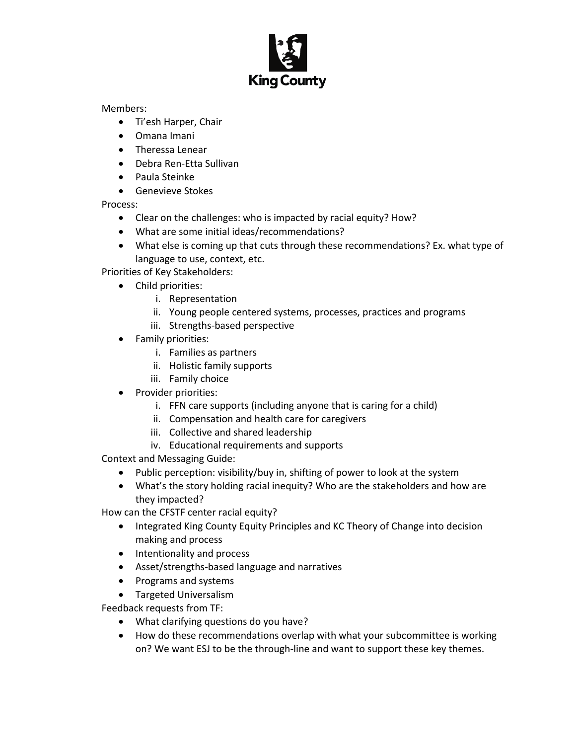

Members:

- Ti'esh Harper, Chair
- Omana Imani
- Theressa Lenear
- Debra Ren-Etta Sullivan
- Paula Steinke
- Genevieve Stokes

Process:

- Clear on the challenges: who is impacted by racial equity? How?
- What are some initial ideas/recommendations?
- What else is coming up that cuts through these recommendations? Ex. what type of language to use, context, etc.

Priorities of Key Stakeholders:

- Child priorities:
	- i. Representation
	- ii. Young people centered systems, processes, practices and programs
	- iii. Strengths-based perspective
- Family priorities:
	- i. Families as partners
	- ii. Holistic family supports
	- iii. Family choice
- Provider priorities:
	- i. FFN care supports (including anyone that is caring for a child)
	- ii. Compensation and health care for caregivers
	- iii. Collective and shared leadership
	- iv. Educational requirements and supports

Context and Messaging Guide:

- Public perception: visibility/buy in, shifting of power to look at the system
- What's the story holding racial inequity? Who are the stakeholders and how are they impacted?

How can the CFSTF center racial equity?

- Integrated King County Equity Principles and KC Theory of Change into decision making and process
- Intentionality and process
- Asset/strengths-based language and narratives
- Programs and systems
- Targeted Universalism

Feedback requests from TF:

- What clarifying questions do you have?
- How do these recommendations overlap with what your subcommittee is working on? We want ESJ to be the through-line and want to support these key themes.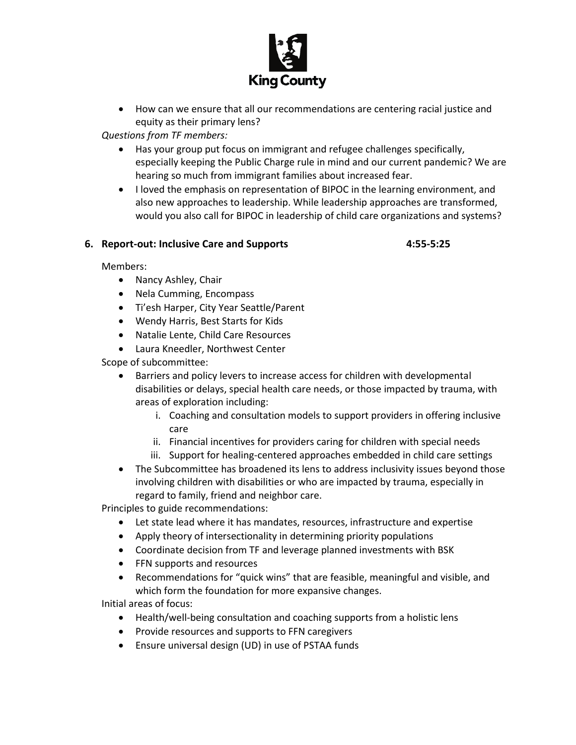

• How can we ensure that all our recommendations are centering racial justice and equity as their primary lens?

*Questions from TF members:*

- Has your group put focus on immigrant and refugee challenges specifically, especially keeping the Public Charge rule in mind and our current pandemic? We are hearing so much from immigrant families about increased fear.
- I loved the emphasis on representation of BIPOC in the learning environment, and also new approaches to leadership. While leadership approaches are transformed, would you also call for BIPOC in leadership of child care organizations and systems?

# **6. Report-out: Inclusive Care and Supports 4:55-5:25**

Members:

- Nancy Ashley, Chair
- Nela Cumming, Encompass
- Ti'esh Harper, City Year Seattle/Parent
- Wendy Harris, Best Starts for Kids
- Natalie Lente, Child Care Resources
- Laura Kneedler, Northwest Center

Scope of subcommittee:

- Barriers and policy levers to increase access for children with developmental disabilities or delays, special health care needs, or those impacted by trauma, with areas of exploration including:
	- i. Coaching and consultation models to support providers in offering inclusive care
	- ii. Financial incentives for providers caring for children with special needs
	- iii. Support for healing-centered approaches embedded in child care settings
- The Subcommittee has broadened its lens to address inclusivity issues beyond those involving children with disabilities or who are impacted by trauma, especially in regard to family, friend and neighbor care.

Principles to guide recommendations:

- Let state lead where it has mandates, resources, infrastructure and expertise
- Apply theory of intersectionality in determining priority populations
- Coordinate decision from TF and leverage planned investments with BSK
- FFN supports and resources
- Recommendations for "quick wins" that are feasible, meaningful and visible, and which form the foundation for more expansive changes.

Initial areas of focus:

- Health/well-being consultation and coaching supports from a holistic lens
- Provide resources and supports to FFN caregivers
- Ensure universal design (UD) in use of PSTAA funds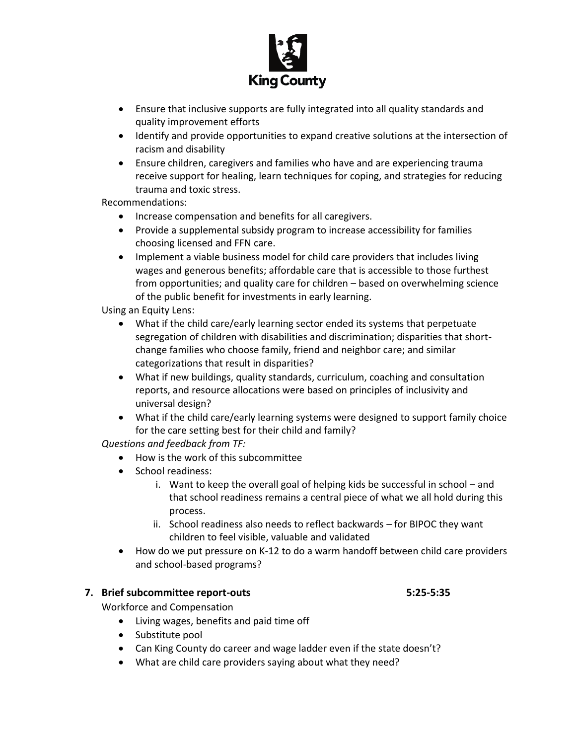

- Ensure that inclusive supports are fully integrated into all quality standards and quality improvement efforts
- Identify and provide opportunities to expand creative solutions at the intersection of racism and disability
- Ensure children, caregivers and families who have and are experiencing trauma receive support for healing, learn techniques for coping, and strategies for reducing trauma and toxic stress.

Recommendations:

- Increase compensation and benefits for all caregivers.
- Provide a supplemental subsidy program to increase accessibility for families choosing licensed and FFN care.
- Implement a viable business model for child care providers that includes living wages and generous benefits; affordable care that is accessible to those furthest from opportunities; and quality care for children – based on overwhelming science of the public benefit for investments in early learning.

Using an Equity Lens:

- What if the child care/early learning sector ended its systems that perpetuate segregation of children with disabilities and discrimination; disparities that shortchange families who choose family, friend and neighbor care; and similar categorizations that result in disparities?
- What if new buildings, quality standards, curriculum, coaching and consultation reports, and resource allocations were based on principles of inclusivity and universal design?
- What if the child care/early learning systems were designed to support family choice for the care setting best for their child and family?

*Questions and feedback from TF:* 

- How is the work of this subcommittee
- School readiness:
	- i. Want to keep the overall goal of helping kids be successful in school and that school readiness remains a central piece of what we all hold during this process.
	- ii. School readiness also needs to reflect backwards for BIPOC they want children to feel visible, valuable and validated
- How do we put pressure on K-12 to do a warm handoff between child care providers and school-based programs?

## **7. Brief subcommittee report-outs 5:25-5:35**

Workforce and Compensation

- Living wages, benefits and paid time off
- Substitute pool
- Can King County do career and wage ladder even if the state doesn't?
- What are child care providers saying about what they need?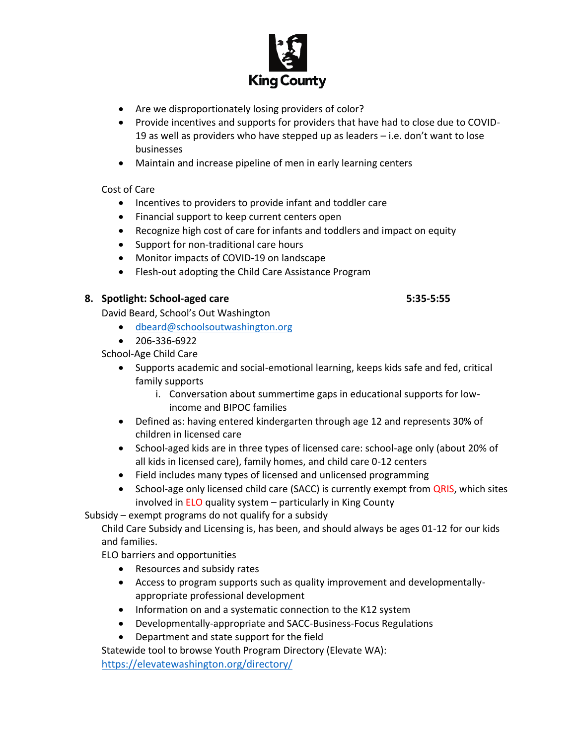

- Are we disproportionately losing providers of color?
- Provide incentives and supports for providers that have had to close due to COVID-19 as well as providers who have stepped up as leaders – i.e. don't want to lose businesses
- Maintain and increase pipeline of men in early learning centers

# Cost of Care

- Incentives to providers to provide infant and toddler care
- Financial support to keep current centers open
- Recognize high cost of care for infants and toddlers and impact on equity
- Support for non-traditional care hours
- Monitor impacts of COVID-19 on landscape
- Flesh-out adopting the Child Care Assistance Program

# **8. Spotlight: School-aged care 5:35-5:55**

David Beard, School's Out Washington

- [dbeard@schoolsoutwashington.org](mailto:dbeard@schoolsoutwashington.org)
- 206-336-6922

School-Age Child Care

- Supports academic and social-emotional learning, keeps kids safe and fed, critical family supports
	- i. Conversation about summertime gaps in educational supports for lowincome and BIPOC families
- Defined as: having entered kindergarten through age 12 and represents 30% of children in licensed care
- School-aged kids are in three types of licensed care: school-age only (about 20% of all kids in licensed care), family homes, and child care 0-12 centers
- Field includes many types of licensed and unlicensed programming
- School-age only licensed child care (SACC) is currently exempt from QRIS, which sites involved in ELO quality system – particularly in King County

Subsidy – exempt programs do not qualify for a subsidy

Child Care Subsidy and Licensing is, has been, and should always be ages 01-12 for our kids and families.

ELO barriers and opportunities

- Resources and subsidy rates
- Access to program supports such as quality improvement and developmentallyappropriate professional development
- Information on and a systematic connection to the K12 system
- Developmentally-appropriate and SACC-Business-Focus Regulations
- Department and state support for the field

Statewide tool to browse Youth Program Directory (Elevate WA): <https://elevatewashington.org/directory/>